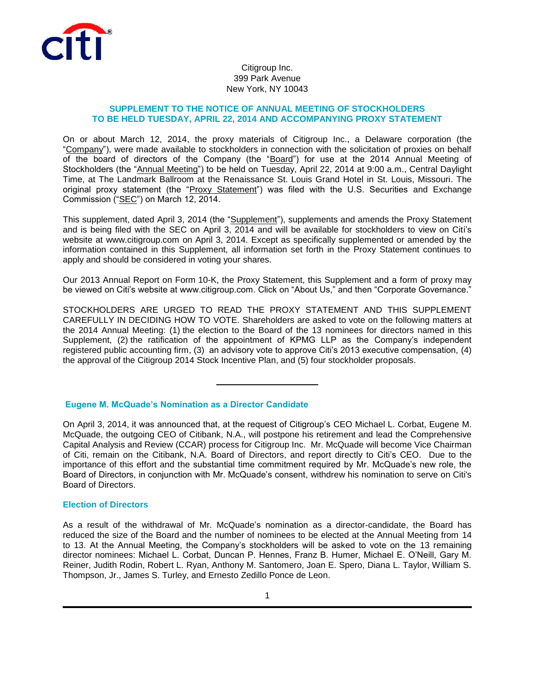

# Citigroup Inc. 399 Park Avenue New York, NY 10043

## **SUPPLEMENT TO THE NOTICE OF ANNUAL MEETING OF STOCKHOLDERS TO BE HELD TUESDAY, APRIL 22, 2014 AND ACCOMPANYING PROXY STATEMENT**

On or about March 12, 2014, the proxy materials of Citigroup Inc., a Delaware corporation (the "Company"), were made available to stockholders in connection with the solicitation of proxies on behalf of the board of directors of the Company (the "Board") for use at the 2014 Annual Meeting of Stockholders (the "Annual Meeting") to be held on Tuesday, April 22, 2014 at 9:00 a.m., Central Daylight Time, at The Landmark Ballroom at the Renaissance St. Louis Grand Hotel in St. Louis, Missouri. The original proxy statement (the "Proxy Statement") was filed with the U.S. Securities and Exchange Commission ("SEC") on March 12, 2014.

This supplement, dated April 3, 2014 (the "Supplement"), supplements and amends the Proxy Statement and is being filed with the SEC on April 3, 2014 and will be available for stockholders to view on Citi's website at www.citigroup.com on April 3, 2014. Except as specifically supplemented or amended by the information contained in this Supplement, all information set forth in the Proxy Statement continues to apply and should be considered in voting your shares.

Our 2013 Annual Report on Form 10-K, the Proxy Statement, this Supplement and a form of proxy may be viewed on Citi's website at www.citigroup.com. Click on "About Us," and then "Corporate Governance."

STOCKHOLDERS ARE URGED TO READ THE PROXY STATEMENT AND THIS SUPPLEMENT CAREFULLY IN DECIDING HOW TO VOTE. Shareholders are asked to vote on the following matters at the 2014 Annual Meeting: (1) the election to the Board of the 13 nominees for directors named in this Supplement, (2) the ratification of the appointment of KPMG LLP as the Company's independent registered public accounting firm, (3) an advisory vote to approve Citi's 2013 executive compensation, (4) the approval of the Citigroup 2014 Stock Incentive Plan, and (5) four stockholder proposals.

## **Eugene M. McQuade's Nomination as a Director Candidate**

On April 3, 2014, it was announced that, at the request of Citigroup's CEO Michael L. Corbat, Eugene M. McQuade, the outgoing CEO of Citibank, N.A., will postpone his retirement and lead the Comprehensive Capital Analysis and Review (CCAR) process for Citigroup Inc. Mr. McQuade will become Vice Chairman of Citi, remain on the Citibank, N.A. Board of Directors, and report directly to Citi's CEO. Due to the importance of this effort and the substantial time commitment required by Mr. McQuade's new role, the Board of Directors, in conjunction with Mr. McQuade's consent, withdrew his nomination to serve on Citi's Board of Directors.

## **Election of Directors**

As a result of the withdrawal of Mr. McQuade's nomination as a director-candidate, the Board has reduced the size of the Board and the number of nominees to be elected at the Annual Meeting from 14 to 13. At the Annual Meeting, the Company's stockholders will be asked to vote on the 13 remaining director nominees: Michael L. Corbat, Duncan P. Hennes, Franz B. Humer, Michael E. O'Neill, Gary M. Reiner, Judith Rodin, Robert L. Ryan, Anthony M. Santomero, Joan E. Spero, Diana L. Taylor, William S. Thompson, Jr., James S. Turley, and Ernesto Zedillo Ponce de Leon.